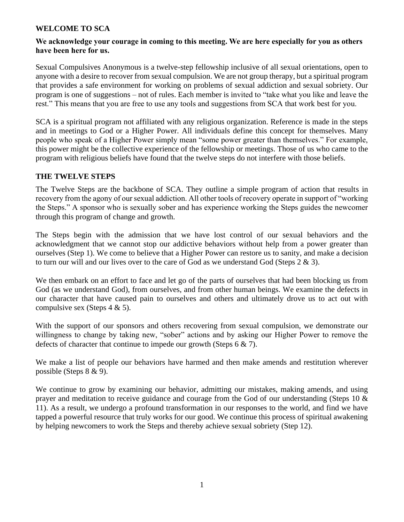## **WELCOME TO SCA**

## **We acknowledge your courage in coming to this meeting. We are here especially for you as others have been here for us.**

Sexual Compulsives Anonymous is a twelve-step fellowship inclusive of all sexual orientations, open to anyone with a desire to recover from sexual compulsion. We are not group therapy, but a spiritual program that provides a safe environment for working on problems of sexual addiction and sexual sobriety. Our program is one of suggestions – not of rules. Each member is invited to "take what you like and leave the rest." This means that you are free to use any tools and suggestions from SCA that work best for you.

SCA is a spiritual program not affiliated with any religious organization. Reference is made in the steps and in meetings to God or a Higher Power. All individuals define this concept for themselves. Many people who speak of a Higher Power simply mean "some power greater than themselves." For example, this power might be the collective experience of the fellowship or meetings. Those of us who came to the program with religious beliefs have found that the twelve steps do not interfere with those beliefs.

## **THE TWELVE STEPS**

The Twelve Steps are the backbone of SCA. They outline a simple program of action that results in recovery from the agony of our sexual addiction. All other tools of recovery operate in support of "working the Steps." A sponsor who is sexually sober and has experience working the Steps guides the newcomer through this program of change and growth.

The Steps begin with the admission that we have lost control of our sexual behaviors and the acknowledgment that we cannot stop our addictive behaviors without help from a power greater than ourselves (Step 1). We come to believe that a Higher Power can restore us to sanity, and make a decision to turn our will and our lives over to the care of God as we understand God (Steps  $2 \& 3$ ).

We then embark on an effort to face and let go of the parts of ourselves that had been blocking us from God (as we understand God), from ourselves, and from other human beings. We examine the defects in our character that have caused pain to ourselves and others and ultimately drove us to act out with compulsive sex (Steps 4 & 5).

With the support of our sponsors and others recovering from sexual compulsion, we demonstrate our willingness to change by taking new, "sober" actions and by asking our Higher Power to remove the defects of character that continue to impede our growth (Steps 6 & 7).

We make a list of people our behaviors have harmed and then make amends and restitution wherever possible (Steps 8 & 9).

We continue to grow by examining our behavior, admitting our mistakes, making amends, and using prayer and meditation to receive guidance and courage from the God of our understanding (Steps 10 & 11). As a result, we undergo a profound transformation in our responses to the world, and find we have tapped a powerful resource that truly works for our good. We continue this process of spiritual awakening by helping newcomers to work the Steps and thereby achieve sexual sobriety (Step 12).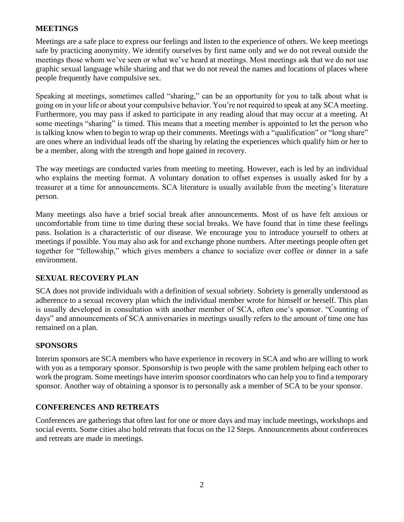## **MEETINGS**

Meetings are a safe place to express our feelings and listen to the experience of others. We keep meetings safe by practicing anonymity. We identify ourselves by first name only and we do not reveal outside the meetings those whom we've seen or what we've heard at meetings. Most meetings ask that we do not use graphic sexual language while sharing and that we do not reveal the names and locations of places where people frequently have compulsive sex.

Speaking at meetings, sometimes called "sharing," can be an opportunity for you to talk about what is going on in your life or about your compulsive behavior. You're not required to speak at any SCA meeting. Furthermore, you may pass if asked to participate in any reading aloud that may occur at a meeting. At some meetings "sharing" is timed. This means that a meeting member is appointed to let the person who is talking know when to begin to wrap up their comments. Meetings with a "qualification" or "long share" are ones where an individual leads off the sharing by relating the experiences which qualify him or her to be a member, along with the strength and hope gained in recovery.

The way meetings are conducted varies from meeting to meeting. However, each is led by an individual who explains the meeting format. A voluntary donation to offset expenses is usually asked for by a treasurer at a time for announcements. SCA literature is usually available from the meeting's literature person.

Many meetings also have a brief social break after announcements. Most of us have felt anxious or uncomfortable from time to time during these social breaks. We have found that in time these feelings pass. Isolation is a characteristic of our disease. We encourage you to introduce yourself to others at meetings if possible. You may also ask for and exchange phone numbers. After meetings people often get together for "fellowship," which gives members a chance to socialize over coffee or dinner in a safe environment.

# **SEXUAL RECOVERY PLAN**

SCA does not provide individuals with a definition of sexual sobriety. Sobriety is generally understood as adherence to a sexual recovery plan which the individual member wrote for himself or herself. This plan is usually developed in consultation with another member of SCA, often one's sponsor. "Counting of days" and announcements of SCA anniversaries in meetings usually refers to the amount of time one has remained on a plan.

## **SPONSORS**

Interim sponsors are SCA members who have experience in recovery in SCA and who are willing to work with you as a temporary sponsor. Sponsorship is two people with the same problem helping each other to work the program. Some meetings have interim sponsor coordinators who can help you to find a temporary sponsor. Another way of obtaining a sponsor is to personally ask a member of SCA to be your sponsor.

## **CONFERENCES AND RETREATS**

Conferences are gatherings that often last for one or more days and may include meetings, workshops and social events. Some cities also hold retreats that focus on the 12 Steps. Announcements about conferences and retreats are made in meetings.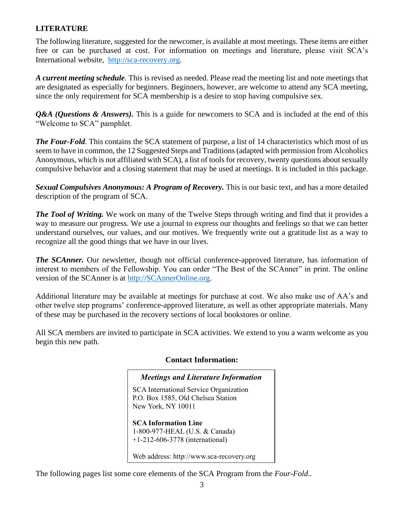# **LITERATURE**

The following literature, suggested for the newcomer, is available at most meetings. These items are either free or can be purchased at cost. For information on meetings and literature, please visit SCA's International website, [http://sca-recovery.org.](http://sca-recovery.org/)

*A current meeting schedule.* This is revised as needed. Please read the meeting list and note meetings that are designated as especially for beginners. Beginners, however, are welcome to attend any SCA meeting, since the only requirement for SCA membership is a desire to stop having compulsive sex.

*Q&A (Questions & Answers).* This is a guide for newcomers to SCA and is included at the end of this "Welcome to SCA" pamphlet.

*The Four-Fold*. This contains the SCA statement of purpose, a list of 14 characteristics which most of us seem to have in common, the 12 Suggested Steps and Traditions (adapted with permission from Alcoholics Anonymous, which is not affiliated with SCA), a list of tools for recovery, twenty questions about sexually compulsive behavior and a closing statement that may be used at meetings. It is included in this package.

*Sexual Compulsives Anonymous: A Program of Recovery.* This is our basic text, and has a more detailed description of the program of SCA.

*The Tool of Writing.* We work on many of the Twelve Steps through writing and find that it provides a way to measure our progress. We use a journal to express our thoughts and feelings so that we can better understand ourselves, our values, and our motives. We frequently write out a gratitude list as a way to recognize all the good things that we have in our lives.

*The SCAnner.* Our newsletter, though not official conference-approved literature, has information of interest to members of the Fellowship. You can order "The Best of the SCAnner" in print. The online version of the SCAnner is at [http://SCAnnerOnline.org.](http://scanneronline.org/)

Additional literature may be available at meetings for purchase at cost. We also make use of AA's and other twelve step programs' conference-approved literature, as well as other appropriate materials. Many of these may be purchased in the recovery sections of local bookstores or online.

All SCA members are invited to participate in SCA activities. We extend to you a warm welcome as you begin this new path.

## **Contact Information:**

#### *Meetings and Literature Information*

SCA International Service Organization P.O. Box 1585, Old Chelsea Station New York, NY 10011

**SCA Information Line** 1-800-977-HEAL (U.S. & Canada) +1-212-606-3778 (international)

Web address: http://www.sca-recovery.org

The following pages list some core elements of the SCA Program from the *Four-Fold*..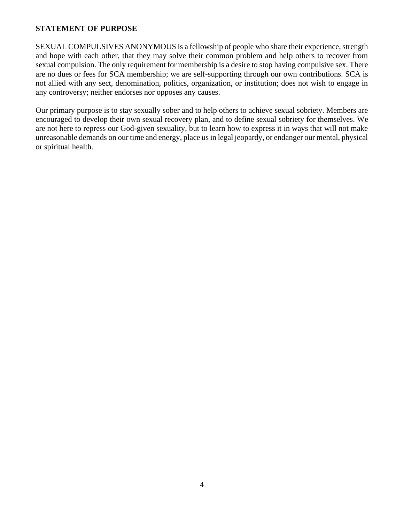### **STATEMENT OF PURPOSE**

SEXUAL COMPULSIVES ANONYMOUS is a fellowship of people who share their experience, strength and hope with each other, that they may solve their common problem and help others to recover from sexual compulsion. The only requirement for membership is a desire to stop having compulsive sex. There are no dues or fees for SCA membership; we are self-supporting through our own contributions. SCA is not allied with any sect, denomination, politics, organization, or institution; does not wish to engage in any controversy; neither endorses nor opposes any causes.

Our primary purpose is to stay sexually sober and to help others to achieve sexual sobriety. Members are encouraged to develop their own sexual recovery plan, and to define sexual sobriety for themselves. We are not here to repress our God-given sexuality, but to learn how to express it in ways that will not make unreasonable demands on our time and energy, place us in legal jeopardy, or endanger our mental, physical or spiritual health.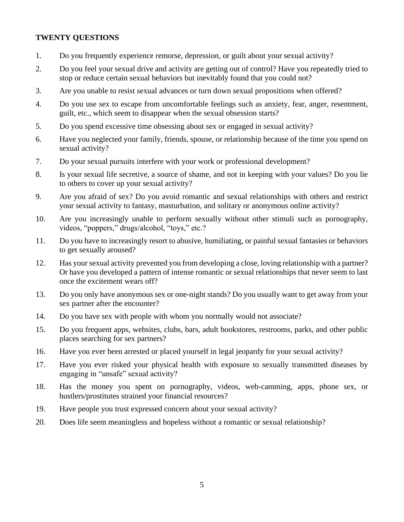### **TWENTY QUESTIONS**

- 1. Do you frequently experience remorse, depression, or guilt about your sexual activity?
- 2. Do you feel your sexual drive and activity are getting out of control? Have you repeatedly tried to stop or reduce certain sexual behaviors but inevitably found that you could not?
- 3. Are you unable to resist sexual advances or turn down sexual propositions when offered?
- 4. Do you use sex to escape from uncomfortable feelings such as anxiety, fear, anger, resentment, guilt, etc., which seem to disappear when the sexual obsession starts?
- 5. Do you spend excessive time obsessing about sex or engaged in sexual activity?
- 6. Have you neglected your family, friends, spouse, or relationship because of the time you spend on sexual activity?
- 7. Do your sexual pursuits interfere with your work or professional development?
- 8. Is your sexual life secretive, a source of shame, and not in keeping with your values? Do you lie to others to cover up your sexual activity?
- 9. Are you afraid of sex? Do you avoid romantic and sexual relationships with others and restrict your sexual activity to fantasy, masturbation, and solitary or anonymous online activity?
- 10. Are you increasingly unable to perform sexually without other stimuli such as pornography, videos, "poppers," drugs/alcohol, "toys," etc.?
- 11. Do you have to increasingly resort to abusive, humiliating, or painful sexual fantasies or behaviors to get sexually aroused?
- 12. Has your sexual activity prevented you from developing a close, loving relationship with a partner? Or have you developed a pattern of intense romantic or sexual relationships that never seem to last once the excitement wears off?
- 13. Do you only have anonymous sex or one-night stands? Do you usually want to get away from your sex partner after the encounter?
- 14. Do you have sex with people with whom you normally would not associate?
- 15. Do you frequent apps, websites, clubs, bars, adult bookstores, restrooms, parks, and other public places searching for sex partners?
- 16. Have you ever been arrested or placed yourself in legal jeopardy for your sexual activity?
- 17. Have you ever risked your physical health with exposure to sexually transmitted diseases by engaging in "unsafe" sexual activity?
- 18. Has the money you spent on pornography, videos, web-camming, apps, phone sex, or hustlers/prostitutes strained your financial resources?
- 19. Have people you trust expressed concern about your sexual activity?
- 20. Does life seem meaningless and hopeless without a romantic or sexual relationship?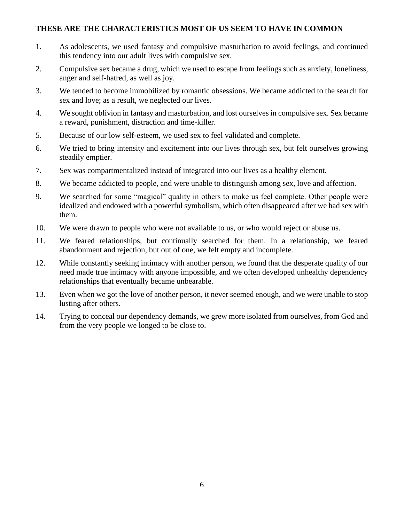### **THESE ARE THE CHARACTERISTICS MOST OF US SEEM TO HAVE IN COMMON**

- 1. As adolescents, we used fantasy and compulsive masturbation to avoid feelings, and continued this tendency into our adult lives with compulsive sex.
- 2. Compulsive sex became a drug, which we used to escape from feelings such as anxiety, loneliness, anger and self-hatred, as well as joy.
- 3. We tended to become immobilized by romantic obsessions. We became addicted to the search for sex and love; as a result, we neglected our lives.
- 4. We sought oblivion in fantasy and masturbation, and lost ourselves in compulsive sex. Sex became a reward, punishment, distraction and time-killer.
- 5. Because of our low self-esteem, we used sex to feel validated and complete.
- 6. We tried to bring intensity and excitement into our lives through sex, but felt ourselves growing steadily emptier.
- 7. Sex was compartmentalized instead of integrated into our lives as a healthy element.
- 8. We became addicted to people, and were unable to distinguish among sex, love and affection.
- 9. We searched for some "magical" quality in others to make us feel complete. Other people were idealized and endowed with a powerful symbolism, which often disappeared after we had sex with them.
- 10. We were drawn to people who were not available to us, or who would reject or abuse us.
- 11. We feared relationships, but continually searched for them. In a relationship, we feared abandonment and rejection, but out of one, we felt empty and incomplete.
- 12. While constantly seeking intimacy with another person, we found that the desperate quality of our need made true intimacy with anyone impossible, and we often developed unhealthy dependency relationships that eventually became unbearable.
- 13. Even when we got the love of another person, it never seemed enough, and we were unable to stop lusting after others.
- 14. Trying to conceal our dependency demands, we grew more isolated from ourselves, from God and from the very people we longed to be close to.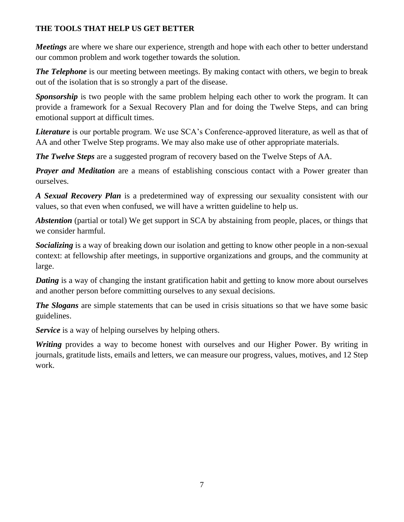# **THE TOOLS THAT HELP US GET BETTER**

*Meetings* are where we share our experience, strength and hope with each other to better understand our common problem and work together towards the solution.

*The Telephone* is our meeting between meetings. By making contact with others, we begin to break out of the isolation that is so strongly a part of the disease.

**Sponsorship** is two people with the same problem helping each other to work the program. It can provide a framework for a Sexual Recovery Plan and for doing the Twelve Steps, and can bring emotional support at difficult times.

*Literature* is our portable program. We use SCA's Conference-approved literature, as well as that of AA and other Twelve Step programs. We may also make use of other appropriate materials.

*The Twelve Steps* are a suggested program of recovery based on the Twelve Steps of AA.

*Prayer and Meditation* are a means of establishing conscious contact with a Power greater than ourselves.

*A Sexual Recovery Plan* is a predetermined way of expressing our sexuality consistent with our values, so that even when confused, we will have a written guideline to help us.

*Abstention* (partial or total) We get support in SCA by abstaining from people, places, or things that we consider harmful.

*Socializing* is a way of breaking down our isolation and getting to know other people in a non-sexual context: at fellowship after meetings, in supportive organizations and groups, and the community at large.

*Dating* is a way of changing the instant gratification habit and getting to know more about ourselves and another person before committing ourselves to any sexual decisions.

*The Slogans* are simple statements that can be used in crisis situations so that we have some basic guidelines.

*Service* is a way of helping ourselves by helping others.

*Writing* provides a way to become honest with ourselves and our Higher Power. By writing in journals, gratitude lists, emails and letters, we can measure our progress, values, motives, and 12 Step work.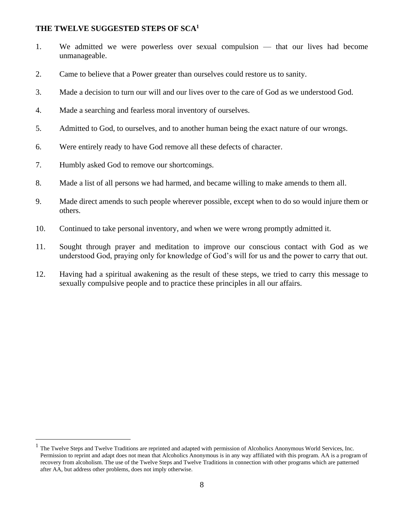### **THE TWELVE SUGGESTED STEPS OF SCA<sup>1</sup>**

- 1. We admitted we were powerless over sexual compulsion that our lives had become unmanageable.
- 2. Came to believe that a Power greater than ourselves could restore us to sanity.
- 3. Made a decision to turn our will and our lives over to the care of God as we understood God.
- 4. Made a searching and fearless moral inventory of ourselves.
- 5. Admitted to God, to ourselves, and to another human being the exact nature of our wrongs.
- 6. Were entirely ready to have God remove all these defects of character.
- 7. Humbly asked God to remove our shortcomings.
- 8. Made a list of all persons we had harmed, and became willing to make amends to them all.
- 9. Made direct amends to such people wherever possible, except when to do so would injure them or others.
- 10. Continued to take personal inventory, and when we were wrong promptly admitted it.
- 11. Sought through prayer and meditation to improve our conscious contact with God as we understood God, praying only for knowledge of God's will for us and the power to carry that out.
- 12. Having had a spiritual awakening as the result of these steps, we tried to carry this message to sexually compulsive people and to practice these principles in all our affairs.

 $<sup>1</sup>$  The Twelve Steps and Twelve Traditions are reprinted and adapted with permission of Alcoholics Anonymous World Services, Inc.</sup> Permission to reprint and adapt does not mean that Alcoholics Anonymous is in any way affiliated with this program. AA is a program of recovery from alcoholism. The use of the Twelve Steps and Twelve Traditions in connection with other programs which are patterned after AA, but address other problems, does not imply otherwise.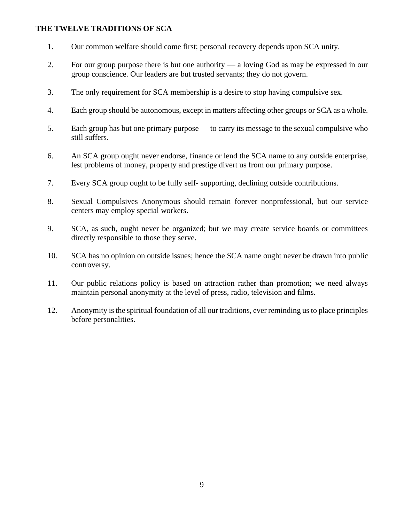### **THE TWELVE TRADITIONS OF SCA**

- 1. Our common welfare should come first; personal recovery depends upon SCA unity.
- 2. For our group purpose there is but one authority a loving God as may be expressed in our group conscience. Our leaders are but trusted servants; they do not govern.
- 3. The only requirement for SCA membership is a desire to stop having compulsive sex.
- 4. Each group should be autonomous, except in matters affecting other groups or SCA as a whole.
- 5. Each group has but one primary purpose to carry its message to the sexual compulsive who still suffers.
- 6. An SCA group ought never endorse, finance or lend the SCA name to any outside enterprise, lest problems of money, property and prestige divert us from our primary purpose.
- 7. Every SCA group ought to be fully self- supporting, declining outside contributions.
- 8. Sexual Compulsives Anonymous should remain forever nonprofessional, but our service centers may employ special workers.
- 9. SCA, as such, ought never be organized; but we may create service boards or committees directly responsible to those they serve.
- 10. SCA has no opinion on outside issues; hence the SCA name ought never be drawn into public controversy.
- 11. Our public relations policy is based on attraction rather than promotion; we need always maintain personal anonymity at the level of press, radio, television and films.
- 12. Anonymity is the spiritual foundation of all our traditions, ever reminding us to place principles before personalities.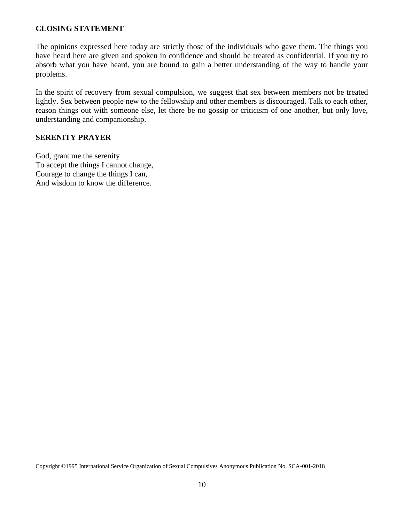#### **CLOSING STATEMENT**

The opinions expressed here today are strictly those of the individuals who gave them. The things you have heard here are given and spoken in confidence and should be treated as confidential. If you try to absorb what you have heard, you are bound to gain a better understanding of the way to handle your problems.

In the spirit of recovery from sexual compulsion, we suggest that sex between members not be treated lightly. Sex between people new to the fellowship and other members is discouraged. Talk to each other, reason things out with someone else, let there be no gossip or criticism of one another, but only love, understanding and companionship.

### **SERENITY PRAYER**

God, grant me the serenity To accept the things I cannot change, Courage to change the things I can, And wisdom to know the difference.

Copyright ©1995 International Service Organization of Sexual Compulsives Anonymous Publication No. SCA-001-2018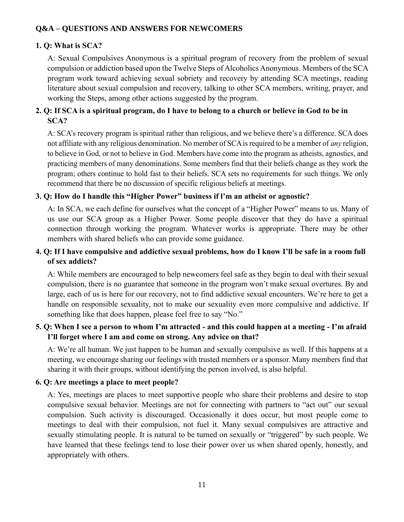## **Q&A – QUESTIONS AND ANSWERS FOR NEWCOMERS**

## **1. Q: What is SCA?**

A: Sexual Compulsives Anonymous is a spiritual program of recovery from the problem of sexual compulsion or addiction based upon the Twelve Steps of Alcoholics Anonymous. Members of the SCA program work toward achieving sexual sobriety and recovery by attending SCA meetings, reading literature about sexual compulsion and recovery, talking to other SCA members, writing, prayer, and working the Steps, among other actions suggested by the program.

# **2. Q: If SCA is a spiritual program, do I have to belong to a church or believe in God to be in SCA?**

A: SCA's recovery program is spiritual rather than religious, and we believe there's a difference. SCA does not affiliate with any religious denomination. No member of SCA is required to be a member of *any* religion, to believe in God, or not to believe in God. Members have come into the program as atheists, agnostics, and practicing members of many denominations. Some members find that their beliefs change as they work the program; others continue to hold fast to their beliefs. SCA sets no requirements for such things. We only recommend that there be no discussion of specific religious beliefs at meetings.

## **3. Q: How do I handle this "Higher Power" business if l'm an atheist or agnostic?**

A: In SCA, we each define for ourselves what the concept of a "Higher Power" means to us. Many of us use our SCA group as a Higher Power. Some people discover that they do have a spiritual connection through working the program. Whatever works is appropriate. There may be other members with shared beliefs who can provide some guidance.

# **4. Q: If I have compulsive and addictive sexual problems, how do I know I'll be safe in a room full of sex addicts?**

A: While members are encouraged to help newcomers feel safe as they begin to deal with their sexual compulsion, there is no guarantee that someone in the program won't make sexual overtures. By and large, each of us is here for our recovery, not to find addictive sexual encounters. We're here to get a handle on responsible sexuality, not to make our sexuality even more compulsive and addictive. If something like that does happen, please feel free to say "No."

# **5. Q: When I see a person to whom I'm attracted - and this could happen at a meeting - I'm afraid I'll forget where I am and come on strong. Any advice on that?**

A: We're all human. We just happen to be human and sexually compulsive as well. If this happens at a meeting, we encourage sharing our feelings with trusted members or a sponsor. Many members find that sharing it with their groups, without identifying the person involved, is also helpful.

## **6. Q: Are meetings a place to meet people?**

A: Yes, meetings are places to meet supportive people who share their problems and desire to stop compulsive sexual behavior. Meetings are not for connecting with partners to "act out" our sexual compulsion. Such activity is discouraged. Occasionally it does occur, but most people come to meetings to deal with their compulsion, not fuel it. Many sexual compulsives are attractive and sexually stimulating people. It is natural to be turned on sexually or "triggered" by such people. We have learned that these feelings tend to lose their power over us when shared openly, honestly, and appropriately with others.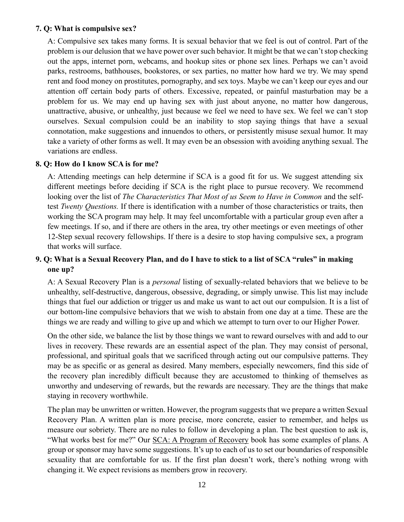### **7. Q: What is compulsive sex?**

A: Compulsive sex takes many forms. It is sexual behavior that we feel is out of control. Part of the problem is our delusion that we have power over such behavior. It might be that we can't stop checking out the apps, internet porn, webcams, and hookup sites or phone sex lines. Perhaps we can't avoid parks, restrooms, bathhouses, bookstores, or sex parties, no matter how hard we try. We may spend rent and food money on prostitutes, pornography, and sex toys. Maybe we can't keep our eyes and our attention off certain body parts of others. Excessive, repeated, or painful masturbation may be a problem for us. We may end up having sex with just about anyone, no matter how dangerous, unattractive, abusive, or unhealthy, just because we feel we need to have sex. We feel we can't stop ourselves. Sexual compulsion could be an inability to stop saying things that have a sexual connotation, make suggestions and innuendos to others, or persistently misuse sexual humor. It may take a variety of other forms as well. It may even be an obsession with avoiding anything sexual. The variations are endless.

### **8. Q: How do I know SCA is for me?**

A: Attending meetings can help determine if SCA is a good fit for us. We suggest attending six different meetings before deciding if SCA is the right place to pursue recovery. We recommend looking over the list of *The Characteristics That Most of us Seem to Have in Common* and the selftest *Twenty Questions.* If there is identification with a number of those characteristics or traits, then working the SCA program may help. It may feel uncomfortable with a particular group even after a few meetings. If so, and if there are others in the area, try other meetings or even meetings of other 12-Step sexual recovery fellowships. If there is a desire to stop having compulsive sex, a program that works will surface.

# **9. Q: What is a Sexual Recovery Plan, and do I have to stick to a list of SCA "rules" in making one up?**

A: A Sexual Recovery Plan is a *personal* listing of sexually-related behaviors that we believe to be unhealthy, self-destructive, dangerous, obsessive, degrading, or simply unwise. This list may include things that fuel our addiction or trigger us and make us want to act out our compulsion. It is a list of our bottom-line compulsive behaviors that we wish to abstain from one day at a time. These are the things we are ready and willing to give up and which we attempt to turn over to our Higher Power.

On the other side, we balance the list by those things we want to reward ourselves with and add to our lives in recovery. These rewards are an essential aspect of the plan. They may consist of personal, professional, and spiritual goals that we sacrificed through acting out our compulsive patterns. They may be as specific or as general as desired. Many members, especially newcomers, find this side of the recovery plan incredibly difficult because they are accustomed to thinking of themselves as unworthy and undeserving of rewards, but the rewards are necessary. They are the things that make staying in recovery worthwhile.

The plan may be unwritten or written. However, the program suggests that we prepare a written Sexual Recovery Plan. A written plan is more precise, more concrete, easier to remember, and helps us measure our sobriety. There are no rules to follow in developing a plan. The best question to ask is, "What works best for me?" Our SCA: A Program of Recovery book has some examples of plans. A group or sponsor may have some suggestions. It's up to each of us to set our boundaries of responsible sexuality that are comfortable for us. If the first plan doesn't work, there's nothing wrong with changing it. We expect revisions as members grow in recovery.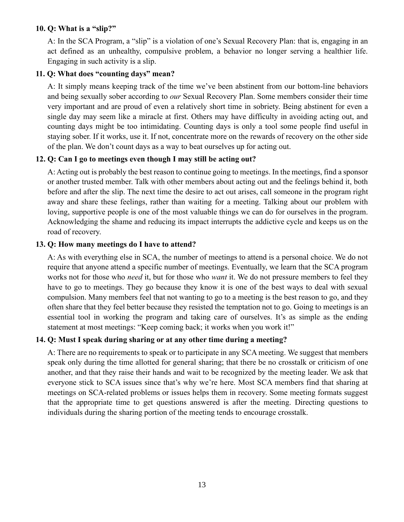### **10. Q: What is a "slip?"**

A: In the SCA Program, a "slip" is a violation of one's Sexual Recovery Plan: that is, engaging in an act defined as an unhealthy, compulsive problem, a behavior no longer serving a healthier life. Engaging in such activity is a slip.

### **11. Q: What does "counting days" mean?**

A: It simply means keeping track of the time we've been abstinent from our bottom-line behaviors and being sexually sober according to *our* Sexual Recovery Plan. Some members consider their time very important and are proud of even a relatively short time in sobriety. Being abstinent for even a single day may seem like a miracle at first. Others may have difficulty in avoiding acting out, and counting days might be too intimidating. Counting days is only a tool some people find useful in staying sober. If it works, use it. If not, concentrate more on the rewards of recovery on the other side of the plan. We don't count days as a way to beat ourselves up for acting out.

## **12. Q: Can I go to meetings even though I may still be acting out?**

A: Acting out is probably the best reason to continue going to meetings. In the meetings, find a sponsor or another trusted member. Talk with other members about acting out and the feelings behind it, both before and after the slip. The next time the desire to act out arises, call someone in the program right away and share these feelings, rather than waiting for a meeting. Talking about our problem with loving, supportive people is one of the most valuable things we can do for ourselves in the program. Acknowledging the shame and reducing its impact interrupts the addictive cycle and keeps us on the road of recovery.

### **13. Q: How many meetings do I have to attend?**

A: As with everything else in SCA, the number of meetings to attend is a personal choice. We do not require that anyone attend a specific number of meetings. Eventually, we learn that the SCA program works not for those who *need* it, but for those who *want* it. We do not pressure members to feel they have to go to meetings. They go because they know it is one of the best ways to deal with sexual compulsion. Many members feel that not wanting to go to a meeting is the best reason to go, and they often share that they feel better because they resisted the temptation not to go. Going to meetings is an essential tool in working the program and taking care of ourselves. It's as simple as the ending statement at most meetings: "Keep coming back; it works when you work it!"

#### **14. Q: Must I speak during sharing or at any other time during a meeting?**

A: There are no requirements to speak or to participate in any SCA meeting. We suggest that members speak only during the time allotted for general sharing; that there be no crosstalk or criticism of one another, and that they raise their hands and wait to be recognized by the meeting leader. We ask that everyone stick to SCA issues since that's why we're here. Most SCA members find that sharing at meetings on SCA-related problems or issues helps them in recovery. Some meeting formats suggest that the appropriate time to get questions answered is after the meeting. Directing questions to individuals during the sharing portion of the meeting tends to encourage crosstalk.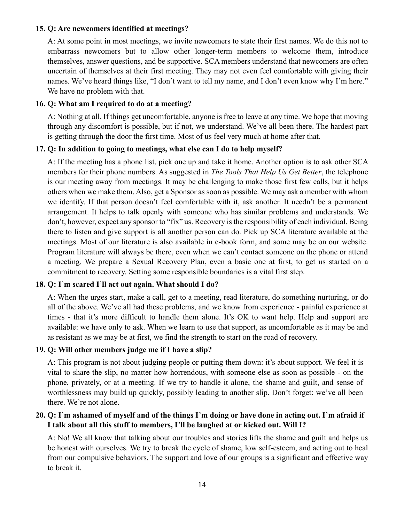#### **15. Q: Are newcomers identified at meetings?**

A: At some point in most meetings, we invite newcomers to state their first names. We do this not to embarrass newcomers but to allow other longer-term members to welcome them, introduce themselves, answer questions, and be supportive. SCA members understand that newcomers are often uncertain of themselves at their first meeting. They may not even feel comfortable with giving their names. We've heard things like, "I don't want to tell my name, and I don't even know why I'm here." We have no problem with that.

### **16. Q: What am I required to do at a meeting?**

A: Nothing at all. If things get uncomfortable, anyone is free to leave at any time. We hope that moving through any discomfort is possible, but if not, we understand. We've all been there. The hardest part is getting through the door the first time. Most of us feel very much at home after that.

### **17. Q: In addition to going to meetings, what else can I do to help myself?**

A: If the meeting has a phone list, pick one up and take it home. Another option is to ask other SCA members for their phone numbers. As suggested in *The Tools That Help Us Get Better*, the telephone is our meeting away from meetings. It may be challenging to make those first few calls, but it helps others when we make them. Also, get a Sponsor as soon as possible. We may ask a member with whom we identify. If that person doesn't feel comfortable with it, ask another. It needn't be a permanent arrangement. It helps to talk openly with someone who has similar problems and understands. We don't, however, expect any sponsor to "fix" us. Recovery is the responsibility of each individual. Being there to listen and give support is all another person can do. Pick up SCA literature available at the meetings. Most of our literature is also available in e-book form, and some may be on our website. Program literature will always be there, even when we can't contact someone on the phone or attend a meeting. We prepare a Sexual Recovery Plan, even a basic one at first, to get us started on a commitment to recovery. Setting some responsible boundaries is a vital first step.

## **18. Q: I**'**m scared I**'**ll act out again. What should I do?**

A: When the urges start, make a call, get to a meeting, read literature, do something nurturing, or do all of the above. We've all had these problems, and we know from experience - painful experience at times - that it's more difficult to handle them alone. It's OK to want help. Help and support are available: we have only to ask. When we learn to use that support, as uncomfortable as it may be and as resistant as we may be at first, we find the strength to start on the road of recovery.

#### **19. Q: Will other members judge me if I have a slip?**

A: This program is not about judging people or putting them down: it's about support. We feel it is vital to share the slip, no matter how horrendous, with someone else as soon as possible - on the phone, privately, or at a meeting. If we try to handle it alone, the shame and guilt, and sense of worthlessness may build up quickly, possibly leading to another slip. Don't forget: we've all been there. We're not alone.

# **20. Q: I**'**m ashamed of myself and of the things I**'**m doing or have done in acting out. I**'**m afraid if I talk about all this stuff to members, I**'**ll be laughed at or kicked out. Will I?**

A: No! We all know that talking about our troubles and stories lifts the shame and guilt and helps us be honest with ourselves. We try to break the cycle of shame, low self-esteem, and acting out to heal from our compulsive behaviors. The support and love of our groups is a significant and effective way to break it.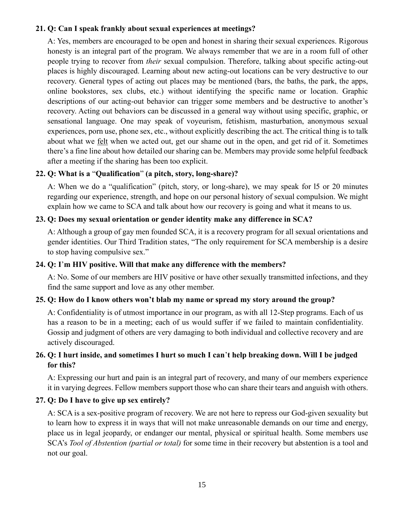### **21. Q: Can I speak frankly about sexual experiences at meetings?**

A: Yes, members are encouraged to be open and honest in sharing their sexual experiences. Rigorous honesty is an integral part of the program. We always remember that we are in a room full of other people trying to recover from *their* sexual compulsion. Therefore, talking about specific acting-out places is highly discouraged. Learning about new acting-out locations can be very destructive to our recovery. General types of acting out places may be mentioned (bars, the baths, the park, the apps, online bookstores, sex clubs, etc.) without identifying the specific name or location. Graphic descriptions of our acting-out behavior can trigger some members and be destructive to another's recovery. Acting out behaviors can be discussed in a general way without using specific, graphic, or sensational language. One may speak of voyeurism, fetishism, masturbation, anonymous sexual experiences, porn use, phone sex, etc., without explicitly describing the act. The critical thing is to talk about what we felt when we acted out, get our shame out in the open, and get rid of it. Sometimes there's a fine line about how detailed our sharing can be. Members may provide some helpful feedback after a meeting if the sharing has been too explicit.

## **22. Q: What is a** "**Qualification**" **(a pitch, story, long-share)?**

A: When we do a "qualification" (pitch, story, or long-share), we may speak for l5 or 20 minutes regarding our experience, strength, and hope on our personal history of sexual compulsion. We might explain how we came to SCA and talk about how our recovery is going and what it means to us.

#### **23. Q: Does my sexual orientation or gender identity make any difference in SCA?**

A: Although a group of gay men founded SCA, it is a recovery program for all sexual orientations and gender identities. Our Third Tradition states, "The only requirement for SCA membership is a desire to stop having compulsive sex."

### **24. Q: I**'**m HIV positive. Will that make any difference with the members?**

A: No. Some of our members are HIV positive or have other sexually transmitted infections, and they find the same support and love as any other member.

## **25. Q: How do I know others won't blab my name or spread my story around the group?**

A: Confidentiality is of utmost importance in our program, as with all 12-Step programs. Each of us has a reason to be in a meeting; each of us would suffer if we failed to maintain confidentiality. Gossip and judgment of others are very damaging to both individual and collective recovery and are actively discouraged.

# **26. Q: I hurt inside, and sometimes I hurt so much I can**'**t help breaking down. Will I be judged for this?**

A: Expressing our hurt and pain is an integral part of recovery, and many of our members experience it in varying degrees. Fellow members support those who can share their tears and anguish with others.

#### **27. Q: Do I have to give up sex entirely?**

A: SCA is a sex-positive program of recovery. We are not here to repress our God-given sexuality but to learn how to express it in ways that will not make unreasonable demands on our time and energy, place us in legal jeopardy, or endanger our mental, physical or spiritual health. Some members use SCA's *Tool of Abstention (partial or total)* for some time in their recovery but abstention is a tool and not our goal.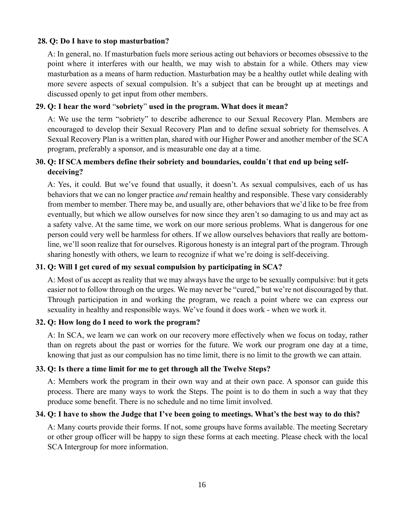### **28. Q: Do I have to stop masturbation?**

A: In general, no. If masturbation fuels more serious acting out behaviors or becomes obsessive to the point where it interferes with our health, we may wish to abstain for a while. Others may view masturbation as a means of harm reduction. Masturbation may be a healthy outlet while dealing with more severe aspects of sexual compulsion. It's a subject that can be brought up at meetings and discussed openly to get input from other members.

### **29. Q: I hear the word** "**sobriety**" **used in the program. What does it mean?**

A: We use the term "sobriety" to describe adherence to our Sexual Recovery Plan. Members are encouraged to develop their Sexual Recovery Plan and to define sexual sobriety for themselves. A Sexual Recovery Plan is a written plan, shared with our Higher Power and another member of the SCA program, preferably a sponsor, and is measurable one day at a time.

# **30. Q: If SCA members define their sobriety and boundaries, couldn**'**t that end up being selfdeceiving?**

A: Yes, it could. But we've found that usually, it doesn't. As sexual compulsives, each of us has behaviors that we can no longer practice *and* remain healthy and responsible. These vary considerably from member to member. There may be, and usually are, other behaviors that we'd like to be free from eventually, but which we allow ourselves for now since they aren't so damaging to us and may act as a safety valve. At the same time, we work on our more serious problems. What is dangerous for one person could very well be harmless for others. If we allow ourselves behaviors that really are bottomline, we'll soon realize that for ourselves. Rigorous honesty is an integral part of the program. Through sharing honestly with others, we learn to recognize if what we're doing is self-deceiving.

#### **31. Q: Will I get cured of my sexual compulsion by participating in SCA?**

A: Most of us accept as reality that we may always have the urge to be sexually compulsive: but it gets easier not to follow through on the urges. We may never be "cured," but we're not discouraged by that. Through participation in and working the program, we reach a point where we can express our sexuality in healthy and responsible ways. We've found it does work - when we work it.

#### **32. Q: How long do I need to work the program?**

A: In SCA, we learn we can work on our recovery more effectively when we focus on today, rather than on regrets about the past or worries for the future. We work our program one day at a time, knowing that just as our compulsion has no time limit, there is no limit to the growth we can attain.

#### **33. Q: Is there a time limit for me to get through all the Twelve Steps?**

A: Members work the program in their own way and at their own pace. A sponsor can guide this process. There are many ways to work the Steps. The point is to do them in such a way that they produce some benefit. There is no schedule and no time limit involved.

#### **34. Q: I have to show the Judge that I've been going to meetings. What's the best way to do this?**

A: Many courts provide their forms. If not, some groups have forms available. The meeting Secretary or other group officer will be happy to sign these forms at each meeting. Please check with the local SCA Intergroup for more information.